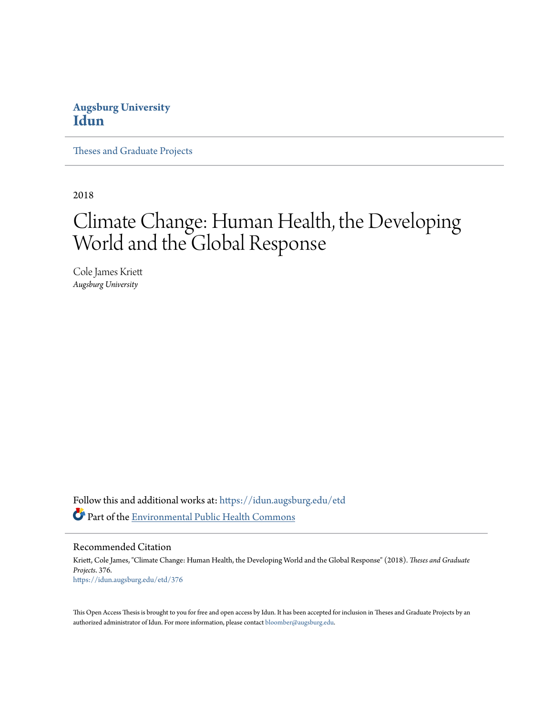# **Augsburg University [Idun](https://idun.augsburg.edu?utm_source=idun.augsburg.edu%2Fetd%2F376&utm_medium=PDF&utm_campaign=PDFCoverPages)**

[Theses and Graduate Projects](https://idun.augsburg.edu/etd?utm_source=idun.augsburg.edu%2Fetd%2F376&utm_medium=PDF&utm_campaign=PDFCoverPages)

2018

# Climate Change: Human Health, the Developing World and the Global Response

Cole James Kriett *Augsburg University*

Follow this and additional works at: [https://idun.augsburg.edu/etd](https://idun.augsburg.edu/etd?utm_source=idun.augsburg.edu%2Fetd%2F376&utm_medium=PDF&utm_campaign=PDFCoverPages) Part of the [Environmental Public Health Commons](http://network.bepress.com/hgg/discipline/739?utm_source=idun.augsburg.edu%2Fetd%2F376&utm_medium=PDF&utm_campaign=PDFCoverPages)

Recommended Citation

Kriett, Cole James, "Climate Change: Human Health, the Developing World and the Global Response" (2018). *Theses and Graduate Projects*. 376. [https://idun.augsburg.edu/etd/376](https://idun.augsburg.edu/etd/376?utm_source=idun.augsburg.edu%2Fetd%2F376&utm_medium=PDF&utm_campaign=PDFCoverPages)

This Open Access Thesis is brought to you for free and open access by Idun. It has been accepted for inclusion in Theses and Graduate Projects by an authorized administrator of Idun. For more information, please contact [bloomber@augsburg.edu.](mailto:bloomber@augsburg.edu)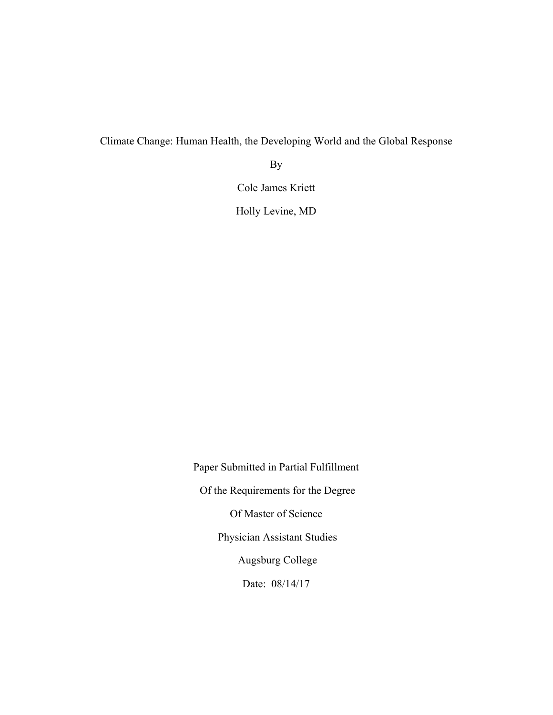Climate Change: Human Health, the Developing World and the Global Response

By

Cole James Kriett

Holly Levine, MD

Paper Submitted in Partial Fulfillment Of the Requirements for the Degree Of Master of Science Physician Assistant Studies Augsburg College Date: 08/14/17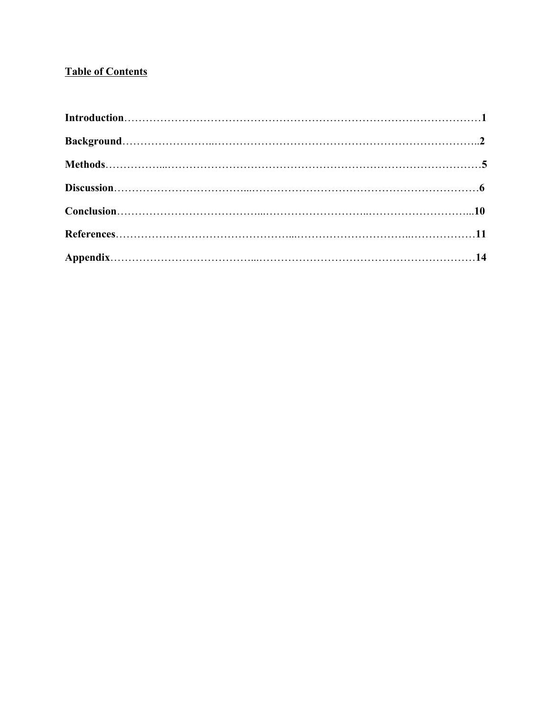# **Table of Contents**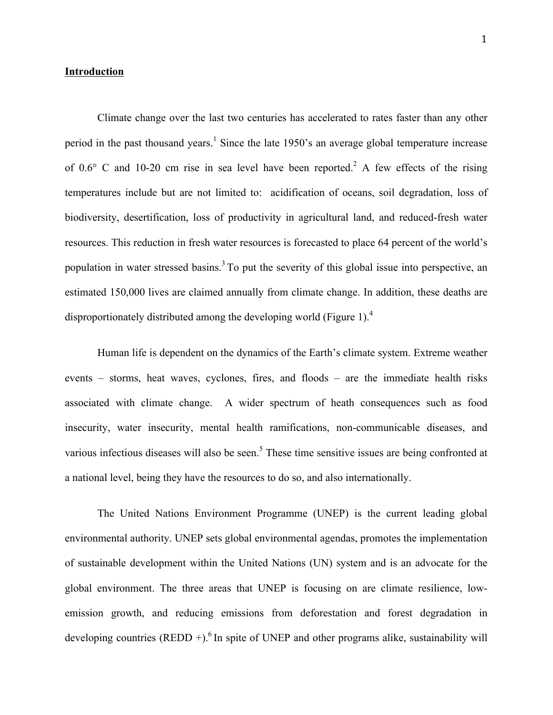#### **Introduction**

Climate change over the last two centuries has accelerated to rates faster than any other period in the past thousand years.<sup>1</sup> Since the late 1950's an average global temperature increase of  $0.6^{\circ}$  C and 10-20 cm rise in sea level have been reported.<sup>2</sup> A few effects of the rising temperatures include but are not limited to: acidification of oceans, soil degradation, loss of biodiversity, desertification, loss of productivity in agricultural land, and reduced-fresh water resources. This reduction in fresh water resources is forecasted to place 64 percent of the world's population in water stressed basins.<sup>3</sup> To put the severity of this global issue into perspective, an estimated 150,000 lives are claimed annually from climate change. In addition, these deaths are disproportionately distributed among the developing world (Figure 1).<sup>4</sup>

Human life is dependent on the dynamics of the Earth's climate system. Extreme weather events – storms, heat waves, cyclones, fires, and floods – are the immediate health risks associated with climate change. A wider spectrum of heath consequences such as food insecurity, water insecurity, mental health ramifications, non-communicable diseases, and various infectious diseases will also be seen.<sup>5</sup> These time sensitive issues are being confronted at a national level, being they have the resources to do so, and also internationally.

The United Nations Environment Programme (UNEP) is the current leading global environmental authority. UNEP sets global environmental agendas, promotes the implementation of sustainable development within the United Nations (UN) system and is an advocate for the global environment. The three areas that UNEP is focusing on are climate resilience, lowemission growth, and reducing emissions from deforestation and forest degradation in developing countries (REDD +).<sup>6</sup> In spite of UNEP and other programs alike, sustainability will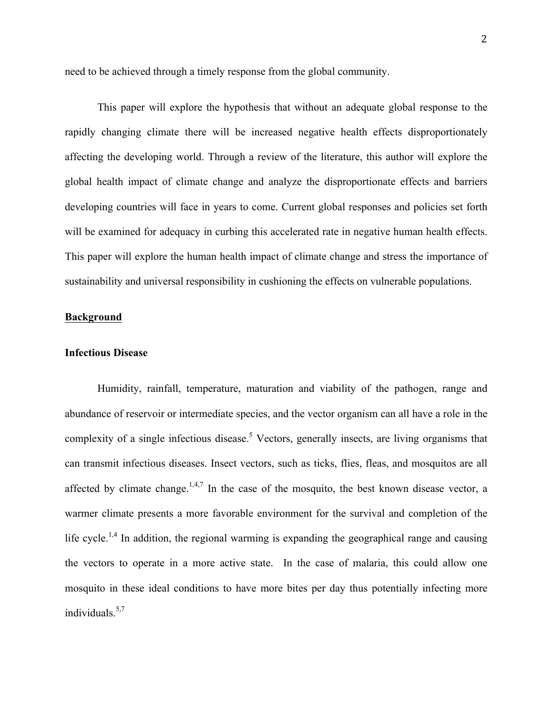need to be achieved through a timely response from the global community.

This paper will explore the hypothesis that without an adequate global response to the rapidly changing climate there will be increased negative health effects disproportionately affecting the developing world. Through a review of the literature, this author will explore the global health impact of climate change and analyze the disproportionate effects and barriers developing countries will face in years to come. Current global responses and policies set forth will be examined for adequacy in curbing this accelerated rate in negative human health effects. This paper will explore the human health impact of climate change and stress the importance of sustainability and universal responsibility in cushioning the effects on vulnerable populations.

## **Background**

#### **Infectious Disease**

Humidity, rainfall, temperature, maturation and viability of the pathogen, range and abundance of reservoir or intermediate species, and the vector organism can all have a role in the complexity of a single infectious disease.<sup>5</sup> Vectors, generally insects, are living organisms that can transmit infectious diseases. Insect vectors, such as ticks, flies, fleas, and mosquitos are all affected by climate change.<sup>1,4,7</sup> In the case of the mosquito, the best known disease vector, a warmer climate presents a more favorable environment for the survival and completion of the life cycle.<sup>1,4</sup> In addition, the regional warming is expanding the geographical range and causing the vectors to operate in a more active state. In the case of malaria, this could allow one mosquito in these ideal conditions to have more bites per day thus potentially infecting more individuals. 5,7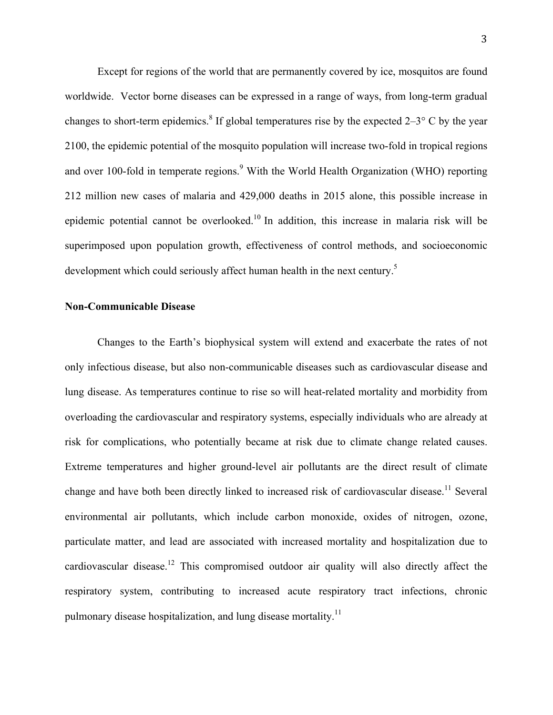Except for regions of the world that are permanently covered by ice, mosquitos are found worldwide. Vector borne diseases can be expressed in a range of ways, from long-term gradual changes to short-term epidemics.<sup>8</sup> If global temperatures rise by the expected  $2-3^\circ$  C by the year 2100, the epidemic potential of the mosquito population will increase two-fold in tropical regions and over 100-fold in temperate regions.<sup>9</sup> With the World Health Organization (WHO) reporting 212 million new cases of malaria and 429,000 deaths in 2015 alone, this possible increase in epidemic potential cannot be overlooked.<sup>10</sup> In addition, this increase in malaria risk will be superimposed upon population growth, effectiveness of control methods, and socioeconomic development which could seriously affect human health in the next century.<sup>5</sup>

#### **Non-Communicable Disease**

Changes to the Earth's biophysical system will extend and exacerbate the rates of not only infectious disease, but also non-communicable diseases such as cardiovascular disease and lung disease. As temperatures continue to rise so will heat-related mortality and morbidity from overloading the cardiovascular and respiratory systems, especially individuals who are already at risk for complications, who potentially became at risk due to climate change related causes. Extreme temperatures and higher ground-level air pollutants are the direct result of climate change and have both been directly linked to increased risk of cardiovascular disease.<sup>11</sup> Several environmental air pollutants, which include carbon monoxide, oxides of nitrogen, ozone, particulate matter, and lead are associated with increased mortality and hospitalization due to cardiovascular disease.<sup>12</sup> This compromised outdoor air quality will also directly affect the respiratory system, contributing to increased acute respiratory tract infections, chronic pulmonary disease hospitalization, and lung disease mortality.<sup>11</sup>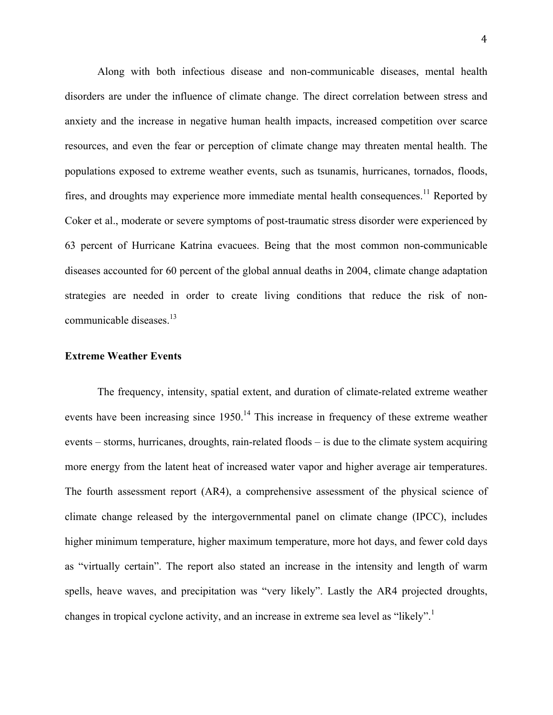Along with both infectious disease and non-communicable diseases, mental health disorders are under the influence of climate change. The direct correlation between stress and anxiety and the increase in negative human health impacts, increased competition over scarce resources, and even the fear or perception of climate change may threaten mental health. The populations exposed to extreme weather events, such as tsunamis, hurricanes, tornados, floods, fires, and droughts may experience more immediate mental health consequences.<sup>11</sup> Reported by Coker et al., moderate or severe symptoms of post-traumatic stress disorder were experienced by 63 percent of Hurricane Katrina evacuees. Being that the most common non-communicable diseases accounted for 60 percent of the global annual deaths in 2004, climate change adaptation strategies are needed in order to create living conditions that reduce the risk of noncommunicable diseases.<sup>13</sup>

#### **Extreme Weather Events**

The frequency, intensity, spatial extent, and duration of climate-related extreme weather events have been increasing since  $1950$ .<sup>14</sup> This increase in frequency of these extreme weather events – storms, hurricanes, droughts, rain-related floods – is due to the climate system acquiring more energy from the latent heat of increased water vapor and higher average air temperatures. The fourth assessment report (AR4), a comprehensive assessment of the physical science of climate change released by the intergovernmental panel on climate change (IPCC), includes higher minimum temperature, higher maximum temperature, more hot days, and fewer cold days as "virtually certain". The report also stated an increase in the intensity and length of warm spells, heave waves, and precipitation was "very likely". Lastly the AR4 projected droughts, changes in tropical cyclone activity, and an increase in extreme sea level as "likely".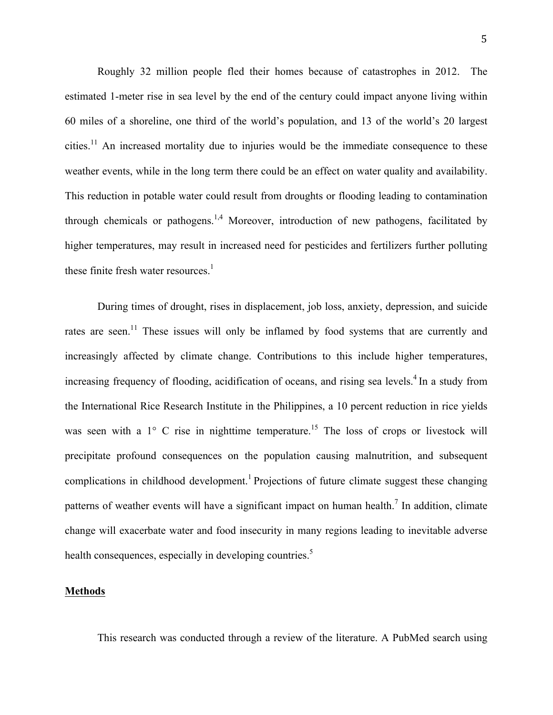Roughly 32 million people fled their homes because of catastrophes in 2012. The estimated 1-meter rise in sea level by the end of the century could impact anyone living within 60 miles of a shoreline, one third of the world's population, and 13 of the world's 20 largest cities.<sup>11</sup> An increased mortality due to injuries would be the immediate consequence to these weather events, while in the long term there could be an effect on water quality and availability. This reduction in potable water could result from droughts or flooding leading to contamination through chemicals or pathogens.<sup>1,4</sup> Moreover, introduction of new pathogens, facilitated by higher temperatures, may result in increased need for pesticides and fertilizers further polluting these finite fresh water resources.<sup>1</sup>

During times of drought, rises in displacement, job loss, anxiety, depression, and suicide rates are seen.<sup>11</sup> These issues will only be inflamed by food systems that are currently and increasingly affected by climate change. Contributions to this include higher temperatures, increasing frequency of flooding, acidification of oceans, and rising sea levels.<sup>4</sup> In a study from the International Rice Research Institute in the Philippines, a 10 percent reduction in rice yields was seen with a  $1^{\circ}$  C rise in nighttime temperature.<sup>15</sup> The loss of crops or livestock will precipitate profound consequences on the population causing malnutrition, and subsequent complications in childhood development.<sup>1</sup> Projections of future climate suggest these changing patterns of weather events will have a significant impact on human health.<sup>7</sup> In addition, climate change will exacerbate water and food insecurity in many regions leading to inevitable adverse health consequences, especially in developing countries.<sup>5</sup>

# **Methods**

This research was conducted through a review of the literature. A PubMed search using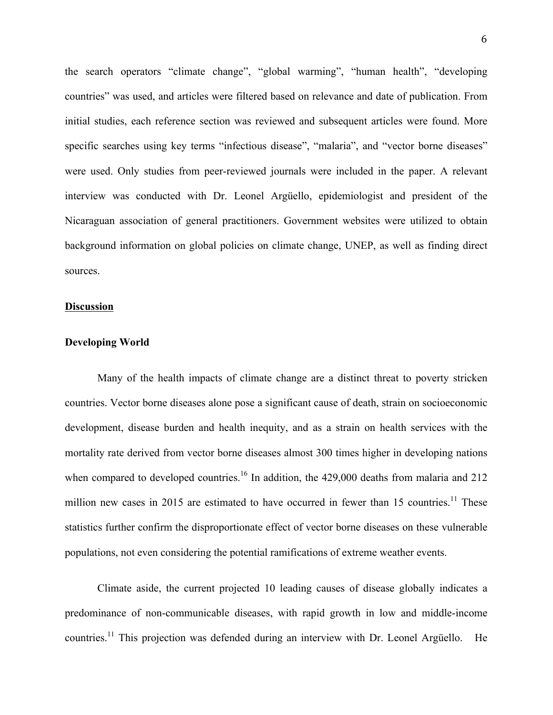the search operators "climate change", "global warming", "human health", "developing countries" was used, and articles were filtered based on relevance and date of publication. From initial studies, each reference section was reviewed and subsequent articles were found. More specific searches using key terms "infectious disease", "malaria", and "vector borne diseases" were used. Only studies from peer-reviewed journals were included in the paper. A relevant interview was conducted with Dr. Leonel Argüello, epidemiologist and president of the Nicaraguan association of general practitioners. Government websites were utilized to obtain background information on global policies on climate change, UNEP, as well as finding direct sources.

#### **Discussion**

# **Developing World**

Many of the health impacts of climate change are a distinct threat to poverty stricken countries. Vector borne diseases alone pose a significant cause of death, strain on socioeconomic development, disease burden and health inequity, and as a strain on health services with the mortality rate derived from vector borne diseases almost 300 times higher in developing nations when compared to developed countries.<sup>16</sup> In addition, the  $429,000$  deaths from malaria and  $212$ million new cases in 2015 are estimated to have occurred in fewer than 15 countries.<sup>11</sup> These statistics further confirm the disproportionate effect of vector borne diseases on these vulnerable populations, not even considering the potential ramifications of extreme weather events.

Climate aside, the current projected 10 leading causes of disease globally indicates a predominance of non-communicable diseases, with rapid growth in low and middle-income countries.<sup>11</sup> This projection was defended during an interview with Dr. Leonel Argüello. He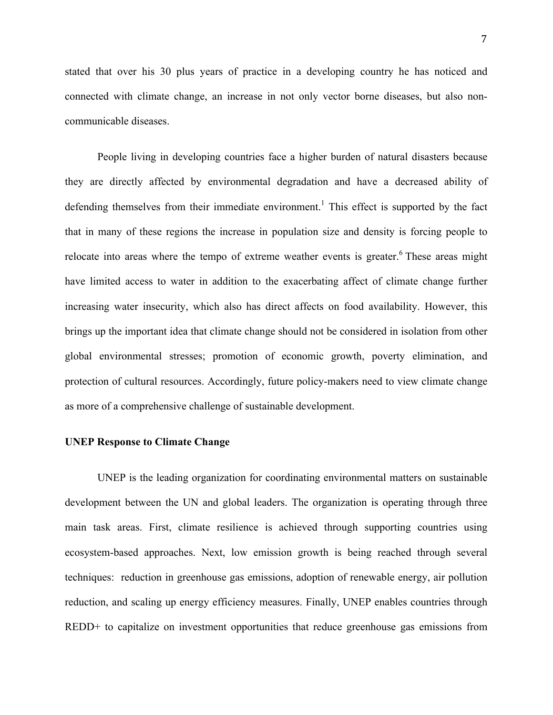stated that over his 30 plus years of practice in a developing country he has noticed and connected with climate change, an increase in not only vector borne diseases, but also noncommunicable diseases.

People living in developing countries face a higher burden of natural disasters because they are directly affected by environmental degradation and have a decreased ability of defending themselves from their immediate environment.<sup>1</sup> This effect is supported by the fact that in many of these regions the increase in population size and density is forcing people to relocate into areas where the tempo of extreme weather events is greater.<sup>6</sup> These areas might have limited access to water in addition to the exacerbating affect of climate change further increasing water insecurity, which also has direct affects on food availability. However, this brings up the important idea that climate change should not be considered in isolation from other global environmental stresses; promotion of economic growth, poverty elimination, and protection of cultural resources. Accordingly, future policy-makers need to view climate change as more of a comprehensive challenge of sustainable development.

## **UNEP Response to Climate Change**

UNEP is the leading organization for coordinating environmental matters on sustainable development between the UN and global leaders. The organization is operating through three main task areas. First, climate resilience is achieved through supporting countries using ecosystem-based approaches. Next, low emission growth is being reached through several techniques: reduction in greenhouse gas emissions, adoption of renewable energy, air pollution reduction, and scaling up energy efficiency measures. Finally, UNEP enables countries through REDD+ to capitalize on investment opportunities that reduce greenhouse gas emissions from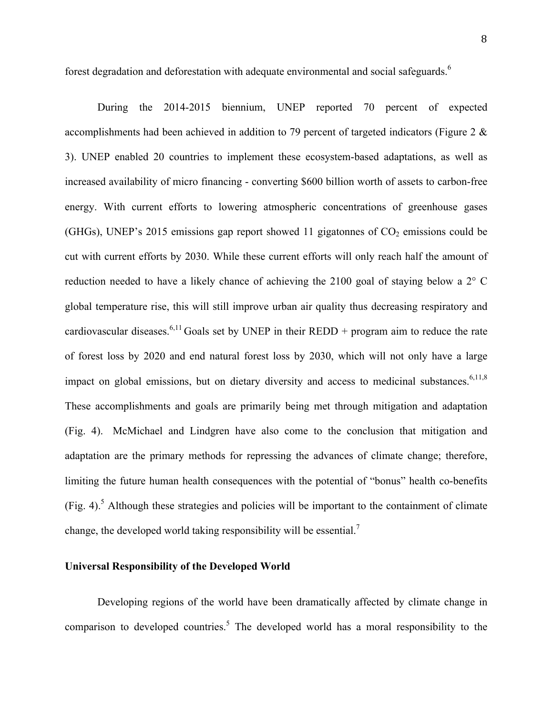forest degradation and deforestation with adequate environmental and social safeguards.<sup>6</sup>

During the 2014-2015 biennium, UNEP reported 70 percent of expected accomplishments had been achieved in addition to 79 percent of targeted indicators (Figure 2 & 3). UNEP enabled 20 countries to implement these ecosystem-based adaptations, as well as increased availability of micro financing - converting \$600 billion worth of assets to carbon-free energy. With current efforts to lowering atmospheric concentrations of greenhouse gases (GHGs), UNEP's 2015 emissions gap report showed 11 gigatonnes of  $CO<sub>2</sub>$  emissions could be cut with current efforts by 2030. While these current efforts will only reach half the amount of reduction needed to have a likely chance of achieving the 2100 goal of staying below a 2° C global temperature rise, this will still improve urban air quality thus decreasing respiratory and cardiovascular diseases.<sup>6,11</sup> Goals set by UNEP in their REDD + program aim to reduce the rate of forest loss by 2020 and end natural forest loss by 2030, which will not only have a large impact on global emissions, but on dietary diversity and access to medicinal substances.<sup>6,11,8</sup> These accomplishments and goals are primarily being met through mitigation and adaptation (Fig. 4). McMichael and Lindgren have also come to the conclusion that mitigation and adaptation are the primary methods for repressing the advances of climate change; therefore, limiting the future human health consequences with the potential of "bonus" health co-benefits (Fig. 4).<sup>5</sup> Although these strategies and policies will be important to the containment of climate change, the developed world taking responsibility will be essential.<sup>7</sup>

# **Universal Responsibility of the Developed World**

Developing regions of the world have been dramatically affected by climate change in comparison to developed countries.<sup>5</sup> The developed world has a moral responsibility to the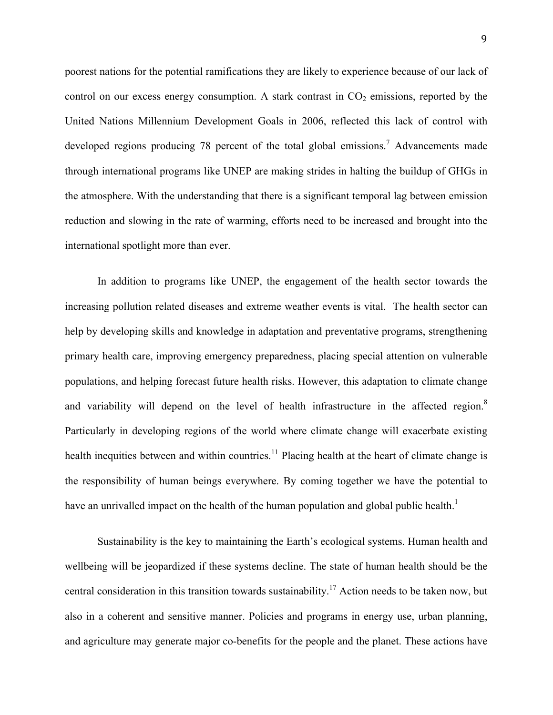poorest nations for the potential ramifications they are likely to experience because of our lack of control on our excess energy consumption. A stark contrast in  $CO<sub>2</sub>$  emissions, reported by the United Nations Millennium Development Goals in 2006, reflected this lack of control with developed regions producing 78 percent of the total global emissions.<sup>7</sup> Advancements made through international programs like UNEP are making strides in halting the buildup of GHGs in the atmosphere. With the understanding that there is a significant temporal lag between emission reduction and slowing in the rate of warming, efforts need to be increased and brought into the international spotlight more than ever.

In addition to programs like UNEP, the engagement of the health sector towards the increasing pollution related diseases and extreme weather events is vital. The health sector can help by developing skills and knowledge in adaptation and preventative programs, strengthening primary health care, improving emergency preparedness, placing special attention on vulnerable populations, and helping forecast future health risks. However, this adaptation to climate change and variability will depend on the level of health infrastructure in the affected region.<sup>8</sup> Particularly in developing regions of the world where climate change will exacerbate existing health inequities between and within countries.<sup>11</sup> Placing health at the heart of climate change is the responsibility of human beings everywhere. By coming together we have the potential to have an unrivalled impact on the health of the human population and global public health.<sup>1</sup>

Sustainability is the key to maintaining the Earth's ecological systems. Human health and wellbeing will be jeopardized if these systems decline. The state of human health should be the central consideration in this transition towards sustainability.<sup>17</sup> Action needs to be taken now, but also in a coherent and sensitive manner. Policies and programs in energy use, urban planning, and agriculture may generate major co-benefits for the people and the planet. These actions have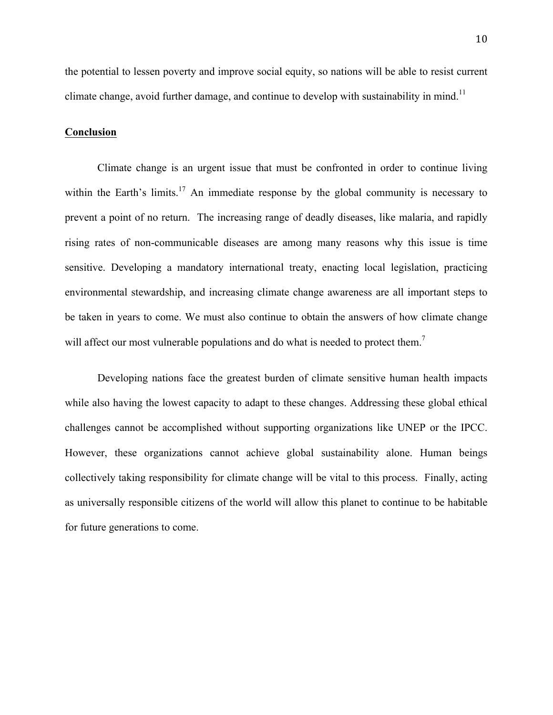the potential to lessen poverty and improve social equity, so nations will be able to resist current climate change, avoid further damage, and continue to develop with sustainability in mind.<sup>11</sup>

#### **Conclusion**

Climate change is an urgent issue that must be confronted in order to continue living within the Earth's limits.<sup>17</sup> An immediate response by the global community is necessary to prevent a point of no return. The increasing range of deadly diseases, like malaria, and rapidly rising rates of non-communicable diseases are among many reasons why this issue is time sensitive. Developing a mandatory international treaty, enacting local legislation, practicing environmental stewardship, and increasing climate change awareness are all important steps to be taken in years to come. We must also continue to obtain the answers of how climate change will affect our most vulnerable populations and do what is needed to protect them.<sup>7</sup>

Developing nations face the greatest burden of climate sensitive human health impacts while also having the lowest capacity to adapt to these changes. Addressing these global ethical challenges cannot be accomplished without supporting organizations like UNEP or the IPCC. However, these organizations cannot achieve global sustainability alone. Human beings collectively taking responsibility for climate change will be vital to this process. Finally, acting as universally responsible citizens of the world will allow this planet to continue to be habitable for future generations to come.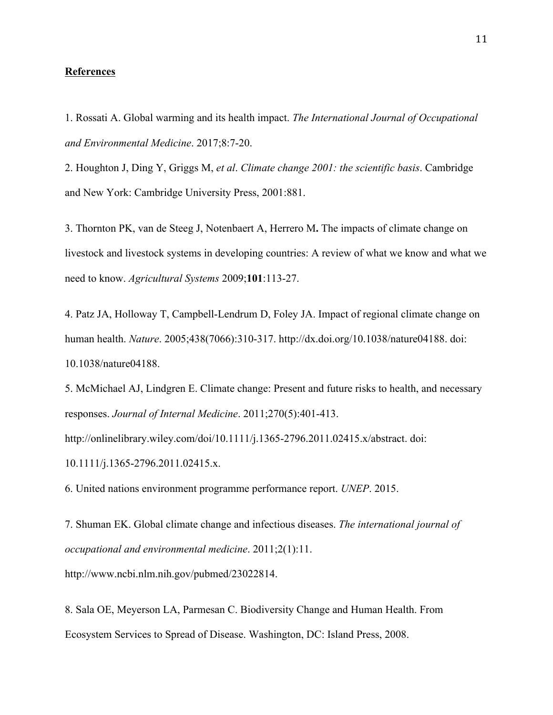#### **References**

1. Rossati A. Global warming and its health impact. *The International Journal of Occupational and Environmental Medicine*. 2017;8:7-20.

2. Houghton J, Ding Y, Griggs M, *et al*. *Climate change 2001: the scientific basis*. Cambridge and New York: Cambridge University Press, 2001:881.

3. Thornton PK, van de Steeg J, Notenbaert A, Herrero M**.** The impacts of climate change on livestock and livestock systems in developing countries: A review of what we know and what we need to know. *Agricultural Systems* 2009;**101**:113-27.

4. Patz JA, Holloway T, Campbell-Lendrum D, Foley JA. Impact of regional climate change on human health. *Nature*. 2005;438(7066):310-317. http://dx.doi.org/10.1038/nature04188. doi: 10.1038/nature04188.

5. McMichael AJ, Lindgren E. Climate change: Present and future risks to health, and necessary responses. *Journal of Internal Medicine*. 2011;270(5):401-413.

http://onlinelibrary.wiley.com/doi/10.1111/j.1365-2796.2011.02415.x/abstract. doi: 10.1111/j.1365-2796.2011.02415.x.

6. United nations environment programme performance report. *UNEP*. 2015.

7. Shuman EK. Global climate change and infectious diseases. *The international journal of occupational and environmental medicine*. 2011;2(1):11.

http://www.ncbi.nlm.nih.gov/pubmed/23022814.

8. Sala OE, Meyerson LA, Parmesan C. Biodiversity Change and Human Health. From Ecosystem Services to Spread of Disease. Washington, DC: Island Press, 2008.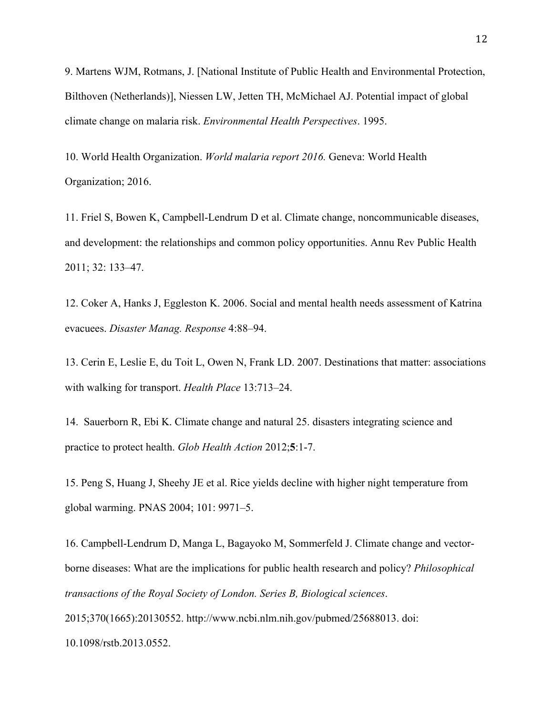9. Martens WJM, Rotmans, J. [National Institute of Public Health and Environmental Protection, Bilthoven (Netherlands)], Niessen LW, Jetten TH, McMichael AJ. Potential impact of global climate change on malaria risk. *Environmental Health Perspectives*. 1995.

10. World Health Organization. *World malaria report 2016.* Geneva: World Health Organization; 2016.

11. Friel S, Bowen K, Campbell-Lendrum D et al. Climate change, noncommunicable diseases, and development: the relationships and common policy opportunities. Annu Rev Public Health 2011; 32: 133–47.

12. Coker A, Hanks J, Eggleston K. 2006. Social and mental health needs assessment of Katrina evacuees. *Disaster Manag. Response* 4:88–94.

13. Cerin E, Leslie E, du Toit L, Owen N, Frank LD. 2007. Destinations that matter: associations with walking for transport. *Health Place* 13:713–24.

14. Sauerborn R, Ebi K. Climate change and natural 25. disasters integrating science and practice to protect health. *Glob Health Action* 2012;**5**:1-7.

15. Peng S, Huang J, Sheehy JE et al. Rice yields decline with higher night temperature from global warming. PNAS 2004; 101: 9971–5.

16. Campbell-Lendrum D, Manga L, Bagayoko M, Sommerfeld J. Climate change and vectorborne diseases: What are the implications for public health research and policy? *Philosophical transactions of the Royal Society of London. Series B, Biological sciences*. 2015;370(1665):20130552. http://www.ncbi.nlm.nih.gov/pubmed/25688013. doi: 10.1098/rstb.2013.0552.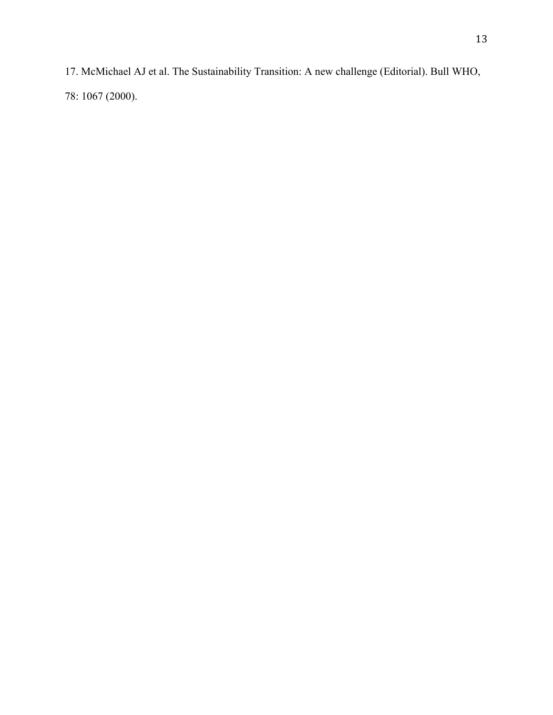17. McMichael AJ et al. The Sustainability Transition: A new challenge (Editorial). Bull WHO, 78: 1067 (2000).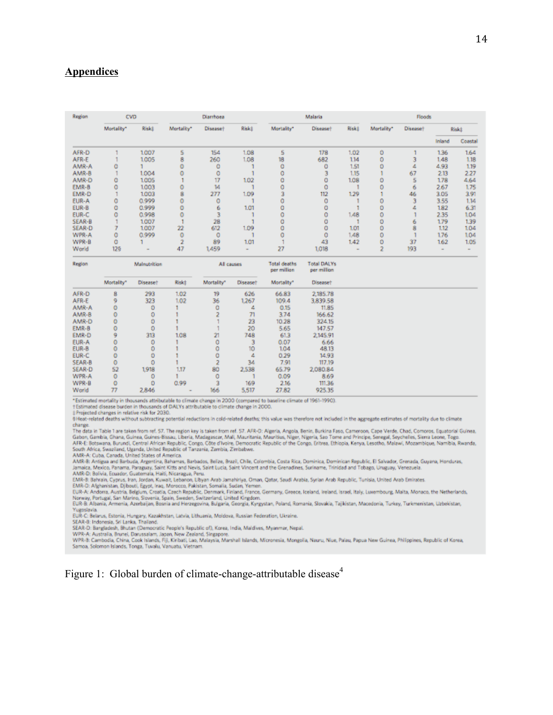# **Appendices**

| Region | <b>CVD</b> |              | Diarrhoea  |                      |       | Malaria                             |                                       |       | Floods     |                      |        |         |
|--------|------------|--------------|------------|----------------------|-------|-------------------------------------|---------------------------------------|-------|------------|----------------------|--------|---------|
|        | Mortality* | Riskt        | Mortality* | Disease <sup>+</sup> | Riskt | Mortality"                          | Disease <sup>+</sup>                  | Risk± | Mortality* | Disease <sup>+</sup> | Risk‡  |         |
|        |            |              |            |                      |       |                                     |                                       |       |            |                      | Inland | Coastal |
| AFR-D  |            | 1,007        | 5          | 154                  | 1.08  | 5                                   | 178                                   | 1.02  | ٥          |                      | 136    | 1.64    |
| AFR-E  |            | 1.005        | 8          | 260                  | 1.08  | 18                                  | 682                                   | 114   | 0          |                      | 1.48   | 1.18    |
| AMR-A  | Ó          |              | Ò          |                      |       | o                                   | O                                     | 1.51  | Ö          |                      | 4.93   | 1.19    |
| AMR-B  |            | 1.004        |            | ٥                    |       | ٥                                   |                                       | 1.15  |            | 67                   | 2.13   | 227     |
| AMR-D  | Ó          | 1.005        |            | 17                   | 1.02  | Ō                                   | о                                     | 1.08  | ٥          | 5                    | 1.78   | 4.64    |
| EMR-B  | ٥          | 1.003        | o          | 14                   |       | ٥                                   | ٥                                     |       |            | 6                    | 2.67   | 1.75    |
| EMR-D  |            | 1.003        | ġ          | 277                  | 1.09  |                                     | 112                                   | 129   |            | 46                   | 3.05   | 3.91    |
| EUR-A  | ٥          | 0.999        | o          |                      |       |                                     | ٥                                     |       |            |                      | 3.55   | 1.14    |
| EUR-B  | ٥          | 0.999        | Ó          | ٠                    | 1.01  | ٥                                   | o                                     |       | Ö          |                      | 182    | 6.31    |
| EUR-C  | ٥          | 0.998        | O          |                      |       | 0                                   | ٥                                     | 1,48  | $\circ$    |                      | 2.35   | 1.04    |
| SEAR-B |            | 1,007        |            | 28                   |       | ٥                                   |                                       |       | ٥          | 6                    | 1.79   | 1.39    |
| SEAR-D |            | 1,007        | 22         | 612                  | 1.09  | ٥                                   | о                                     | 101   | Ö          | 8                    | 112    | 104     |
| WPR-A  | ٥          | 0.999        | o          | 0                    |       |                                     | ٥                                     | 1,48  | 0          |                      | 1.76   | 1.04    |
| WPR-B  | Ó          |              |            | 89                   | 1.01  |                                     | 43                                    | 1.42  | ٥          | 37                   | 162    | 1.05    |
| World  | 125        |              | 47         | 1,459                |       | 27                                  | 1,018                                 |       | ÷          | 193                  |        |         |
| Region |            | Malnutrition |            | All causes           |       | <b>Total deaths</b><br>nar million. | <b>Total DALYs</b><br>many and lines. |       |            |                      |        |         |

|        |            |                      |       |            |                 | <b>PAIL IIRRANI</b> | <b>POINT IN LIFE ENDING</b> |
|--------|------------|----------------------|-------|------------|-----------------|---------------------|-----------------------------|
|        | Mortality" | Disease <sup>+</sup> | Riskt | Mortality* | <b>Diseaset</b> | Mortality"          | <b>Diseaset</b>             |
| AFR-D  | 8          | 293                  | 1.02  | 19         | 626             | 66.83               | 2,185.78                    |
| AFR-E  | g          | 323                  | 1.02  | 36         | 1.267           | 109.4               | 3,839.58                    |
| AMR-A  | ö          | ٥                    |       | Ó          | 4               | 0.15                | 11.85                       |
| AMR-B  | 0          | ٥                    |       |            | 71              | 3.74                | 166.62                      |
| AMR-D  | Ó          |                      |       |            | 23              | 10.28               | 324.15                      |
| EMR-B  | 0          | 0                    |       |            | 20              | 5.65                | 147.57                      |
| EMR-D  | 9          | 313                  | 1.08  | 21         | 748             | 61.3                | 2,145.91                    |
| EUR-A  | 0          | ٥                    |       | ٥          |                 | 0.07                | 6.66                        |
| EUR-B  | 0          |                      |       | ٥          | 10              | 1.04                | 48.13                       |
| EUR-C  | Ò          |                      |       | Ó          | 4               | 0.29                | 14.93                       |
| SEAR-B | 0          | ٥                    |       |            | 34              | 7.91                | 117.19                      |
| SEAR-D | 52         | 1,918                | 1.17  | 80         | 2,538           | 65.79               | 2,080.84                    |
| WPR-A  | 0          | 0                    |       | ٥          |                 | 0.09                | 8.69                        |
| WPR-B  | Ò          | Ö                    | 0.99  |            | 169             | 2.16                | 111.36                      |
| World  | 77         | 2,846                |       | 166        | 5,517           | 27.82               | 925.35                      |

\*Estimated mortality in thousands attributable to climate change in 2000 (compared to baseline climate of 1961-1990).

t Estimated disease burden in thousands of DALYs attributable to climate change in 2000.<br>#Projected changes in relative risk for 2030.

6 Heat-related deaths without subtracting potential reductions in cold-related deaths; this value was therefore not included in the aggregate estimates of mortality due to climate change

change.<br>The data in Table 1 are taken from ref. 57. The region key is taken from ref. 57. AFR-D: Algeria, Angola, Benin, Burkina Faso, Cameroon, Cape Verde, Chad, Comoros, Equatorial Guinea,<br>Gabon, Gambia, Ghana, Guinea, G

AMR-B: Antigua and Barbuda, Argentina, Bahamas, Barbados, Belize, Brazil, Chile, Colombia, Costa Rica, Dominican Republic, El Salvador, Grenada, Guyana, Honduras, Jama's Anduras, Jama's Anduras, Jama's Anduras, Jama's Andu

Jamesca, Intexto, Fanema, Paraguay, Seam Kursa Seam William School and the Grenadores, Sunname, Timided and Todago, Uruguay, Venezuela.<br>EMR-B: Bahrain, Cyprus, Iran, Jordan, Kuwait, Lebanon, Ubyan Arab Jamahiriya, Oman, Qa

Yugoslavia.<br>EUR-C: Belarus, Estonia, Hungary, Kazakhstan, Latvia, Lithuania, Moldova, Russian Federation, Ukraine.

SEAR-B: Indonesia, Sri Lanka, Thailand.

SEAR-D: Bangladesh, Bhutan (Democratic People's Republic of), Korea, India, Maldives, Myanmar, Nepal.<br>SEAR-D: Bangladesh, Bhutan (Democratic People's Republic of), Korea, India, Maldives, Myanmar, Nepal.<br>WPR-R: Australia,

Figure 1: Global burden of climate-change-attributable disease<sup>4</sup>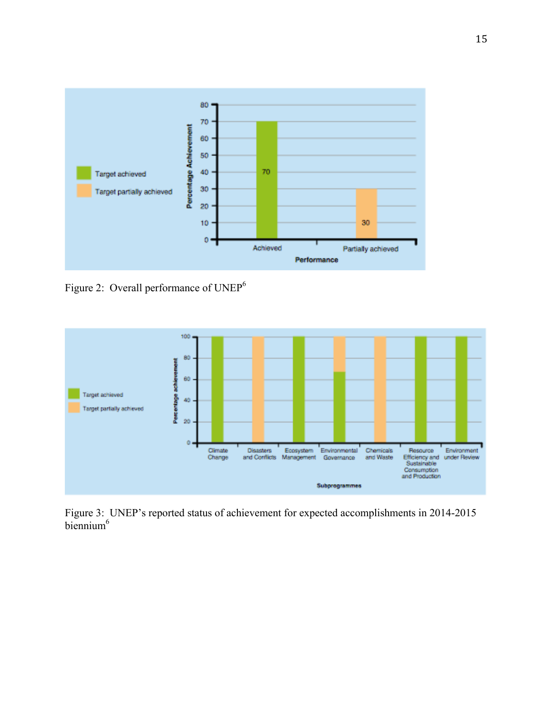

Figure 2: Overall performance of UNEP<sup>6</sup>



Figure 3: UNEP's reported status of achievement for expected accomplishments in 2014-2015 biennium<sup>6</sup>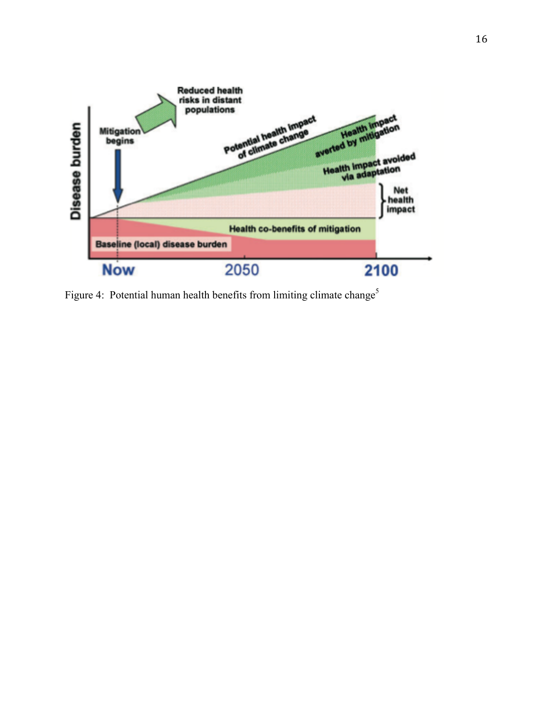

Figure 4: Potential human health benefits from limiting climate change<sup>5</sup>